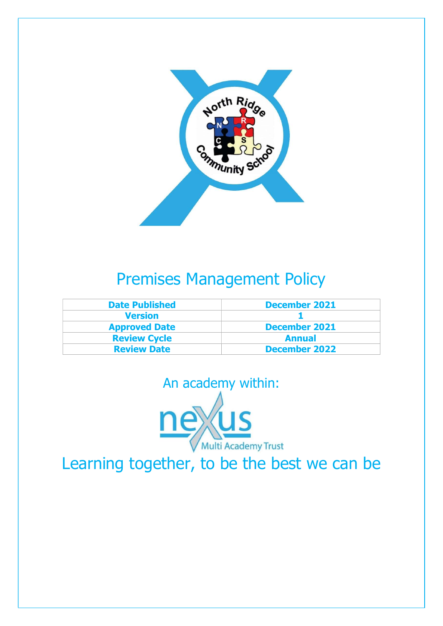

### Premises Management Policy

| <b>Date Published</b> | <b>December 2021</b> |  |
|-----------------------|----------------------|--|
| <b>Version</b>        |                      |  |
| <b>Approved Date</b>  | <b>December 2021</b> |  |
| <b>Review Cycle</b>   | <b>Annual</b>        |  |
| <b>Review Date</b>    | <b>December 2022</b> |  |



Learning together, to be the best we can be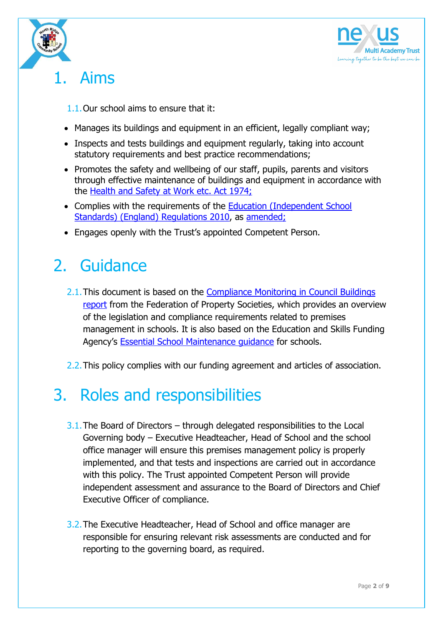



### 1. Aims

1.1.Our school aims to ensure that it:

- Manages its buildings and equipment in an efficient, legally compliant way;
- Inspects and tests buildings and equipment regularly, taking into account statutory requirements and best practice recommendations;
- Promotes the safety and wellbeing of our staff, pupils, parents and visitors through effective maintenance of buildings and equipment in accordance with the Health and Safety at Work etc. Act 1974;
- Complies with the requirements of the Education (Independent School Standards) (England) Regulations 2010, as amended;
- Engages openly with the Trust's appointed Competent Person.

# 2. Guidance

- 2.1.This document is based on the Compliance Monitoring in Council Buildings report from the Federation of Property Societies, which provides an overview of the legislation and compliance requirements related to premises management in schools. It is also based on the Education and Skills Funding Agency's Essential School Maintenance guidance for schools.
- 2.2. This policy complies with our funding agreement and articles of association.

### 3. Roles and responsibilities

- 3.1.The Board of Directors through delegated responsibilities to the Local Governing body – Executive Headteacher, Head of School and the school office manager will ensure this premises management policy is properly implemented, and that tests and inspections are carried out in accordance with this policy. The Trust appointed Competent Person will provide independent assessment and assurance to the Board of Directors and Chief Executive Officer of compliance.
- 3.2.The Executive Headteacher, Head of School and office manager are responsible for ensuring relevant risk assessments are conducted and for reporting to the governing board, as required.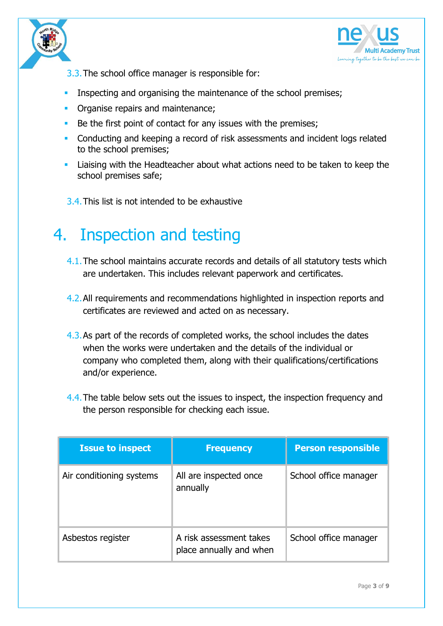



- 3.3.The school office manager is responsible for:
- Inspecting and organising the maintenance of the school premises;
- **•** Organise repairs and maintenance;
- Be the first point of contact for any issues with the premises;
- **Conducting and keeping a record of risk assessments and incident logs related** to the school premises;
- Liaising with the Headteacher about what actions need to be taken to keep the school premises safe;
- 3.4.This list is not intended to be exhaustive

#### 4. Inspection and testing

- 4.1.The school maintains accurate records and details of all statutory tests which are undertaken. This includes relevant paperwork and certificates.
- 4.2.All requirements and recommendations highlighted in inspection reports and certificates are reviewed and acted on as necessary.
- 4.3.As part of the records of completed works, the school includes the dates when the works were undertaken and the details of the individual or company who completed them, along with their qualifications/certifications and/or experience.
- 4.4. The table below sets out the issues to inspect, the inspection frequency and the person responsible for checking each issue.

| <b>Issue to inspect</b>  | <b>Frequency</b>                                   | <b>Person responsible</b> |
|--------------------------|----------------------------------------------------|---------------------------|
| Air conditioning systems | All are inspected once<br>annually                 | School office manager     |
| Asbestos register        | A risk assessment takes<br>place annually and when | School office manager     |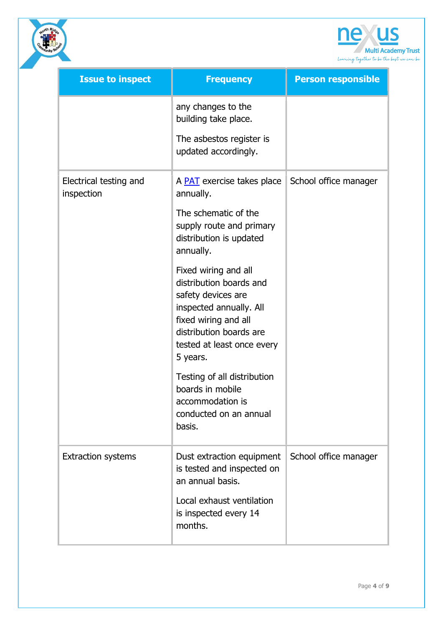

| <b>Issue to inspect</b>              | <b>Frequency</b>                                                                                                                                                                                                                                                                                                                                                                                                                                       | <b>Person responsible</b> |
|--------------------------------------|--------------------------------------------------------------------------------------------------------------------------------------------------------------------------------------------------------------------------------------------------------------------------------------------------------------------------------------------------------------------------------------------------------------------------------------------------------|---------------------------|
|                                      | any changes to the<br>building take place.<br>The asbestos register is<br>updated accordingly.                                                                                                                                                                                                                                                                                                                                                         |                           |
| Electrical testing and<br>inspection | A <b>PAT</b> exercise takes place<br>annually.<br>The schematic of the<br>supply route and primary<br>distribution is updated<br>annually.<br>Fixed wiring and all<br>distribution boards and<br>safety devices are<br>inspected annually. All<br>fixed wiring and all<br>distribution boards are<br>tested at least once every<br>5 years.<br>Testing of all distribution<br>boards in mobile<br>accommodation is<br>conducted on an annual<br>basis. | School office manager     |
| <b>Extraction systems</b>            | Dust extraction equipment<br>is tested and inspected on<br>an annual basis.<br>Local exhaust ventilation<br>is inspected every 14<br>months.                                                                                                                                                                                                                                                                                                           | School office manager     |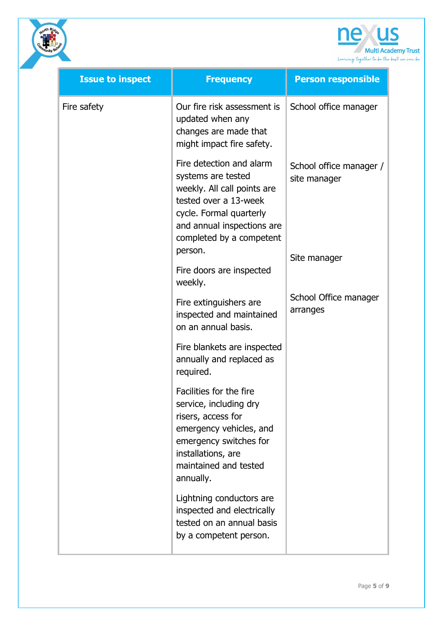

| <b>Issue to inspect</b>             | <b>Frequency</b>                                                                                                                                                                                       | <b>Person responsible</b>               |
|-------------------------------------|--------------------------------------------------------------------------------------------------------------------------------------------------------------------------------------------------------|-----------------------------------------|
| Fire safety                         | Our fire risk assessment is<br>updated when any<br>changes are made that<br>might impact fire safety.                                                                                                  | School office manager                   |
|                                     | Fire detection and alarm<br>systems are tested<br>weekly. All call points are<br>tested over a 13-week<br>cycle. Formal quarterly<br>and annual inspections are<br>completed by a competent<br>person. | School office manager /<br>site manager |
| Fire doors are inspected<br>weekly. |                                                                                                                                                                                                        | Site manager                            |
|                                     | Fire extinguishers are<br>inspected and maintained<br>on an annual basis.                                                                                                                              | School Office manager<br>arranges       |
|                                     | Fire blankets are inspected<br>annually and replaced as<br>required.                                                                                                                                   |                                         |
|                                     | Facilities for the fire<br>service, including dry<br>risers, access for<br>emergency vehicles, and<br>emergency switches for<br>installations, are<br>maintained and tested<br>annually.               |                                         |
|                                     | Lightning conductors are<br>inspected and electrically<br>tested on an annual basis<br>by a competent person.                                                                                          |                                         |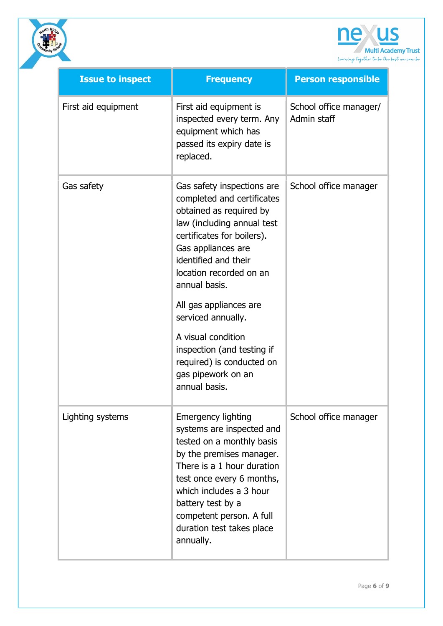

|                         | Learning together to be                                                                                                                                                                                                                                                                                                                                                                                           |                                       |
|-------------------------|-------------------------------------------------------------------------------------------------------------------------------------------------------------------------------------------------------------------------------------------------------------------------------------------------------------------------------------------------------------------------------------------------------------------|---------------------------------------|
| <b>Issue to inspect</b> | <b>Frequency</b>                                                                                                                                                                                                                                                                                                                                                                                                  | <b>Person responsible</b>             |
| First aid equipment     | First aid equipment is<br>inspected every term. Any<br>equipment which has<br>passed its expiry date is<br>replaced.                                                                                                                                                                                                                                                                                              | School office manager/<br>Admin staff |
| Gas safety              | Gas safety inspections are<br>completed and certificates<br>obtained as required by<br>law (including annual test<br>certificates for boilers).<br>Gas appliances are<br>identified and their<br>location recorded on an<br>annual basis.<br>All gas appliances are<br>serviced annually.<br>A visual condition<br>inspection (and testing if<br>required) is conducted on<br>gas pipework on an<br>annual basis. | School office manager                 |
| Lighting systems        | <b>Emergency lighting</b><br>systems are inspected and<br>tested on a monthly basis<br>by the premises manager.<br>There is a 1 hour duration<br>test once every 6 months,<br>which includes a 3 hour<br>battery test by a<br>competent person. A full<br>duration test takes place<br>annually.                                                                                                                  | School office manager                 |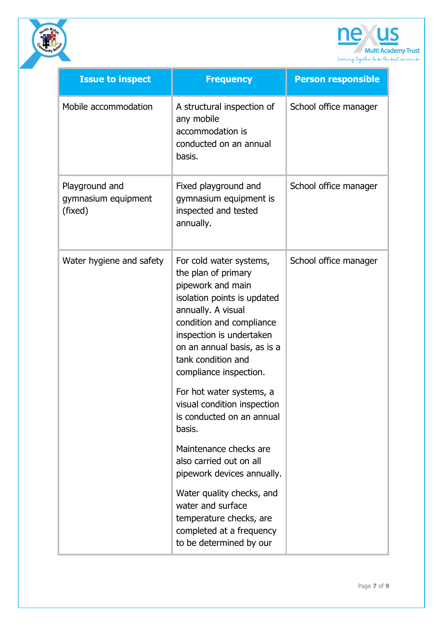



| <b>Issue to inspect</b>                          | <b>Frequency</b>                                                                                                                                                                                                                                                | <b>Person responsible</b> |
|--------------------------------------------------|-----------------------------------------------------------------------------------------------------------------------------------------------------------------------------------------------------------------------------------------------------------------|---------------------------|
| Mobile accommodation                             | A structural inspection of<br>any mobile<br>accommodation is<br>conducted on an annual<br>basis.                                                                                                                                                                | School office manager     |
| Playground and<br>gymnasium equipment<br>(fixed) | Fixed playground and<br>gymnasium equipment is<br>inspected and tested<br>annually.                                                                                                                                                                             | School office manager     |
| Water hygiene and safety                         | For cold water systems,<br>the plan of primary<br>pipework and main<br>isolation points is updated<br>annually. A visual<br>condition and compliance<br>inspection is undertaken<br>on an annual basis, as is a<br>tank condition and<br>compliance inspection. | School office manager     |
|                                                  | For hot water systems, a<br>visual condition inspection<br>is conducted on an annual<br>basis.                                                                                                                                                                  |                           |
|                                                  | Maintenance checks are<br>also carried out on all<br>pipework devices annually.                                                                                                                                                                                 |                           |
|                                                  | Water quality checks, and<br>water and surface<br>temperature checks, are<br>completed at a frequency<br>to be determined by our                                                                                                                                |                           |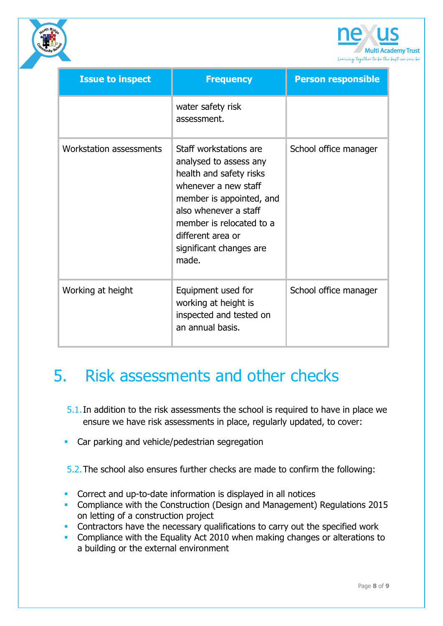

| <b>Issue to inspect</b> | <b>Frequency</b>                                                                                                                                                                                                                              | <b>Person responsible</b> |
|-------------------------|-----------------------------------------------------------------------------------------------------------------------------------------------------------------------------------------------------------------------------------------------|---------------------------|
|                         | water safety risk<br>assessment.                                                                                                                                                                                                              |                           |
| Workstation assessments | Staff workstations are<br>analysed to assess any<br>health and safety risks<br>whenever a new staff<br>member is appointed, and<br>also whenever a staff<br>member is relocated to a<br>different area or<br>significant changes are<br>made. | School office manager     |
| Working at height       | Equipment used for<br>working at height is<br>inspected and tested on<br>an annual basis.                                                                                                                                                     | School office manager     |

# 5. Risk assessments and other checks

- 5.1.In addition to the risk assessments the school is required to have in place we ensure we have risk assessments in place, regularly updated, to cover:
- **Car parking and vehicle/pedestrian segregation**

5.2.The school also ensures further checks are made to confirm the following:

- **Correct and up-to-date information is displayed in all notices**
- **Compliance with the Construction (Design and Management) Regulations 2015** on letting of a construction project
- **Contractors have the necessary qualifications to carry out the specified work**
- **Compliance with the Equality Act 2010 when making changes or alterations to** a building or the external environment